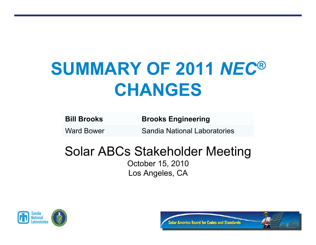# **SUMMARY OF 2011** *NEC®* **CHANGES**

| <b>Bill Brooks</b> | <b>Brooks Engineering</b> |
|--------------------|---------------------------|
|--------------------|---------------------------|

Ward Bower **Sandia National Laboratories** 

#### Solar ABCs Stakeholder Meeting

October 15, 2010 Los Angeles, CA



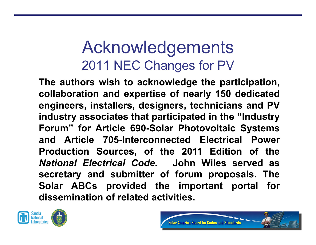## Acknowledgements 2011 NEC Changes for PV

**The authors wish to acknowledge the participation, collaboration and expertise of nearly 150 dedicated engineers, installers, designers, technicians and PV industry associates that participated in the "Industry Forum" for Article 690-Solar Photovoltaic Systems and Article 705-Interconnected Electrical Power Production Sources, of the 2011 Edition of the**  *National Electrical Code.* **John Wiles served as secretary and submitter of forum proposals. The Solar ABCs provided the important portal for dissemination of related activities.**



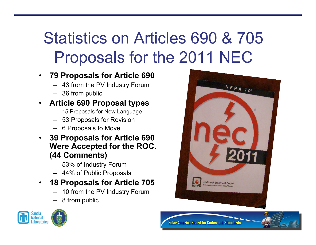## Statistics on Articles 690 & 705 Proposals for the 2011 NEC

- **79 Proposals for Article 690** 
	- 43 from the PV Industry Forum
	- 36 from public

#### • **Article 690 Proposal types**

- 15 Proposals for New Language
- 53 Proposals for Revision
- 6 Proposals to Move
- **39 Proposals for Article 690 Were Accepted for the ROC. (44 Comments)** 
	- 53% of Industry Forum
	- 44% of Public Proposals
- **18 Proposals for Article 705** 
	- 10 from the PV Industry Forum
	- 8 from public







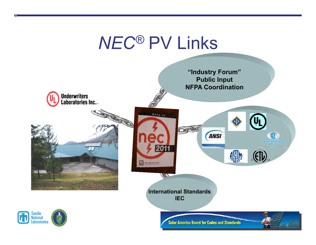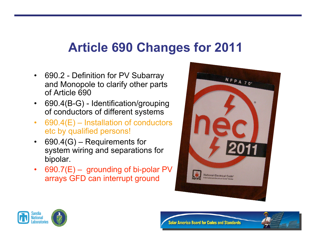#### **Article 690 Changes for 2011**

- 690.2 Definition for PV Subarray and Monopole to clarify other parts of Article 690
- 690.4(B-G) Identification/grouping of conductors of different systems
- $690.4(E)$  Installation of conductors etc by qualified persons!
- 690.4(G) Requirements for system wiring and separations for bipolar.
- 690.7(E) grounding of bi-polar PV arrays GFD can interrupt ground







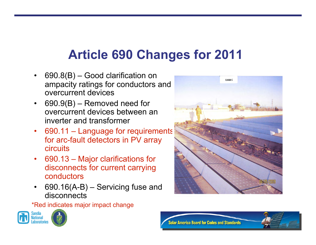### **Article 690 Changes for 2011**

- 690.8(B) Good clarification on ampacity ratings for conductors and overcurrent devices
- $690.9(B)$  Removed need for overcurrent devices between an inverter and transformer
- 690.11 Language for requirements for arc-fault detectors in PV array circuits
- 690.13 Major clarifications for disconnects for current carrying conductors
- $690.16(A-B) -$  Servicing fuse and disconnects

\*Red indicates major impact change







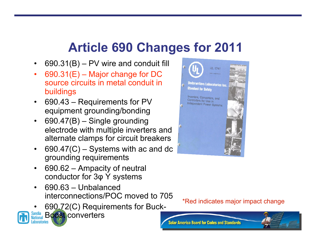#### **Article 690 Changes for 2011**

- $690.31(B) PV$  wire and conduit fill
- $690.31(E)$  Major change for DC source circuits in metal conduit in buildings
- 690.43 Requirements for PV equipment grounding/bonding
- 690.47(B) Single grounding electrode with multiple inverters and alternate clamps for circuit breakers
- $690.47(C)$  Systems with ac and dc grounding requirements
- 690.62 Ampacity of neutral conductor for 3φ Y systems
- 690.63 Unbalanced interconnections/POC moved to 705
- 690.72(C) Requirements for Buck-





\*Red indicates major impact change

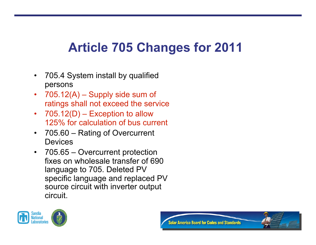### **Article 705 Changes for 2011**

- 705.4 System install by qualified persons
- $705.12(A)$  Supply side sum of ratings shall not exceed the service
- $705.12(D)$  Exception to allow 125% for calculation of bus current
- 705.60 Rating of Overcurrent **Devices**
- 705.65 Overcurrent protection fixes on wholesale transfer of 690 language to 705. Deleted PV specific language and replaced PV source circuit with inverter output circuit.



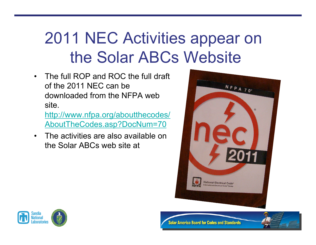## 2011 NEC Activities appear on the Solar ABCs Website

• The full ROP and ROC the full draft of the 2011 NEC can be downloaded from the NFPA web site.

http://www.nfpa.org/aboutthecodes/ AboutTheCodes.asp?DocNum=70

• The activities are also available on the Solar ABCs web site at





**Solar America Board for Codes and Standards**